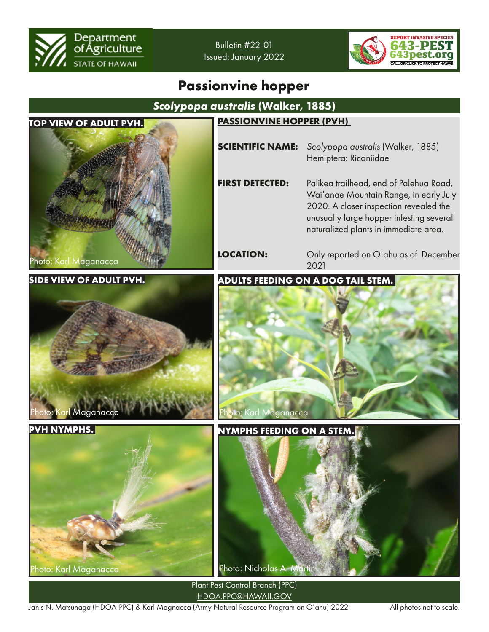

Bulletin #22-01 Issued: January 2022



## **Passionvine hopper**



Janis N. Matsunaga (HDOA-PPC) & Karl Magnacca (Army Natural Resource Program on O'ahu) 2022 All photos not to scale.